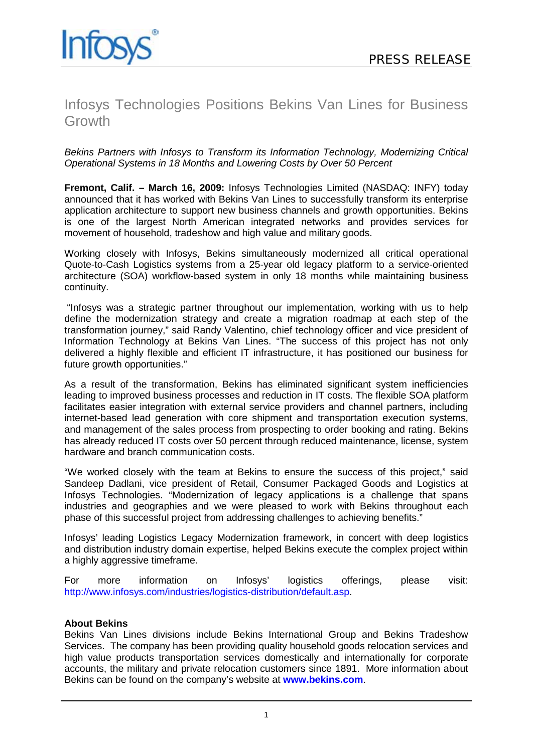# Infosys Technologies Positions Bekins Van Lines for Business **Growth**

*Bekins Partners with Infosys to Transform its Information Technology, Modernizing Critical Operational Systems in 18 Months and Lowering Costs by Over 50 Percent*

**Fremont, Calif. – March 16, 2009:** Infosys Technologies Limited (NASDAQ: INFY) today announced that it has worked with Bekins Van Lines to successfully transform its enterprise application architecture to support new business channels and growth opportunities. Bekins is one of the largest North American integrated networks and provides services for movement of household, tradeshow and high value and military goods.

Working closely with Infosys, Bekins simultaneously modernized all critical operational Quote-to-Cash Logistics systems from a 25-year old legacy platform to a service-oriented architecture (SOA) workflow-based system in only 18 months while maintaining business continuity.

"Infosys was a strategic partner throughout our implementation, working with us to help define the modernization strategy and create a migration roadmap at each step of the transformation journey," said Randy Valentino, chief technology officer and vice president of Information Technology at Bekins Van Lines. "The success of this project has not only delivered a highly flexible and efficient IT infrastructure, it has positioned our business for future growth opportunities."

As a result of the transformation, Bekins has eliminated significant system inefficiencies leading to improved business processes and reduction in IT costs. The flexible SOA platform facilitates easier integration with external service providers and channel partners, including internet-based lead generation with core shipment and transportation execution systems, and management of the sales process from prospecting to order booking and rating. Bekins has already reduced IT costs over 50 percent through reduced maintenance, license, system hardware and branch communication costs.

"We worked closely with the team at Bekins to ensure the success of this project," said Sandeep Dadlani, vice president of Retail, Consumer Packaged Goods and Logistics at Infosys Technologies. "Modernization of legacy applications is a challenge that spans industries and geographies and we were pleased to work with Bekins throughout each phase of this successful project from addressing challenges to achieving benefits."

Infosys' leading Logistics Legacy Modernization framework, in concert with deep logistics and distribution industry domain expertise, helped Bekins execute the complex project within a highly aggressive timeframe.

For more information on Infosys' logistics offerings, please visit: [http://www.infosys.com/industries/logistics-distribution/default.asp.](http://www.infosys.com/industries/logistics-distribution/default.asp)

## **About Bekins**

Bekins Van Lines divisions include Bekins International Group and Bekins Tradeshow Services. The company has been providing quality household goods relocation services and high value products transportation services domestically and internationally for corporate accounts, the military and private relocation customers since 1891. More information about Bekins can be found on the company's website at **[www.bekins.com](http://www.bekins.com/)**.